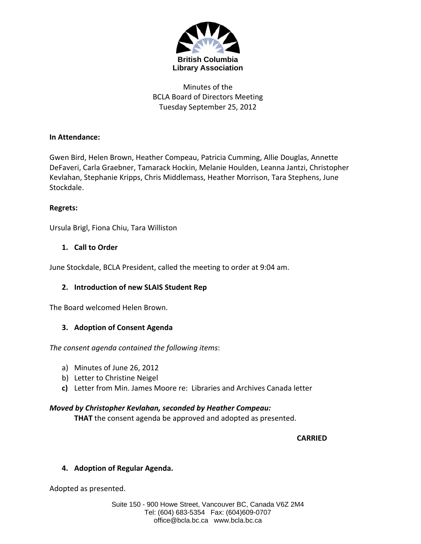

# Minutes of the BCLA Board of Directors Meeting Tuesday September 25, 2012

### **In Attendance:**

Gwen Bird, Helen Brown, Heather Compeau, Patricia Cumming, Allie Douglas, Annette DeFaveri, Carla Graebner, Tamarack Hockin, Melanie Houlden, Leanna Jantzi, Christopher Kevlahan, Stephanie Kripps, Chris Middlemass, Heather Morrison, Tara Stephens, June Stockdale.

#### **Regrets:**

Ursula Brigl, Fiona Chiu, Tara Williston

# **1. Call to Order**

June Stockdale, BCLA President, called the meeting to order at 9:04 am.

# **2. Introduction of new SLAIS Student Rep**

The Board welcomed Helen Brown.

# **3. Adoption of Consent Agenda**

*The consent agenda contained the following items*:

- a) Minutes of June 26, 2012
- b) Letter to Christine Neigel
- **c)** Letter from Min. James Moore re: Libraries and Archives Canada letter

#### *Moved by Christopher Kevlahan, seconded by Heather Compeau:*

**THAT** the consent agenda be approved and adopted as presented.

# **CARRIED**

# **4. Adoption of Regular Agenda.**

Adopted as presented.

Suite 150 - 900 Howe Street, Vancouver BC, Canada V6Z 2M4 Tel: (604) 683-5354 Fax: (604)609-0707 office@bcla.bc.ca www.bcla.bc.ca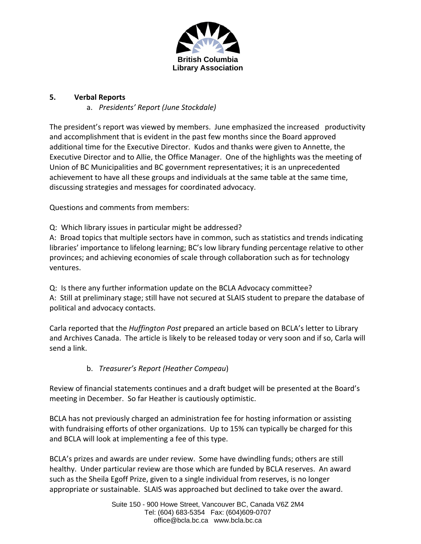

### **5. Verbal Reports**

a. *Presidents' Report (June Stockdale)*

The president's report was viewed by members. June emphasized the increased productivity and accomplishment that is evident in the past few months since the Board approved additional time for the Executive Director. Kudos and thanks were given to Annette, the Executive Director and to Allie, the Office Manager. One of the highlights was the meeting of Union of BC Municipalities and BC government representatives; it is an unprecedented achievement to have all these groups and individuals at the same table at the same time, discussing strategies and messages for coordinated advocacy.

Questions and comments from members:

Q: Which library issues in particular might be addressed?

A: Broad topics that multiple sectors have in common, such as statistics and trends indicating libraries' importance to lifelong learning; BC's low library funding percentage relative to other provinces; and achieving economies of scale through collaboration such as for technology ventures.

Q: Is there any further information update on the BCLA Advocacy committee? A: Still at preliminary stage; still have not secured at SLAIS student to prepare the database of political and advocacy contacts.

Carla reported that the *Huffington Post* prepared an article based on BCLA's letter to Library and Archives Canada. The article is likely to be released today or very soon and if so, Carla will send a link.

# b. *Treasurer's Report (Heather Compeau*)

Review of financial statements continues and a draft budget will be presented at the Board's meeting in December. So far Heather is cautiously optimistic.

BCLA has not previously charged an administration fee for hosting information or assisting with fundraising efforts of other organizations. Up to 15% can typically be charged for this and BCLA will look at implementing a fee of this type.

BCLA's prizes and awards are under review. Some have dwindling funds; others are still healthy. Under particular review are those which are funded by BCLA reserves. An award such as the Sheila Egoff Prize, given to a single individual from reserves, is no longer appropriate or sustainable. SLAIS was approached but declined to take over the award.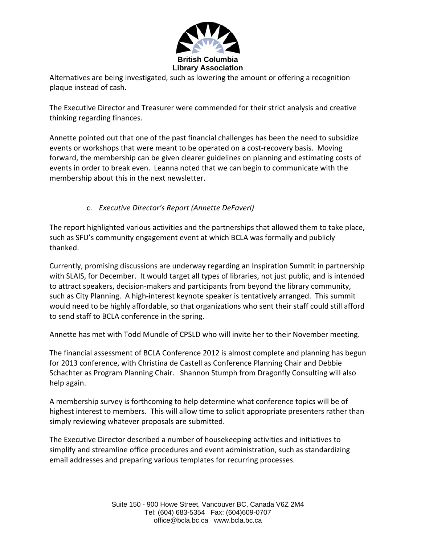

Alternatives are being investigated, such as lowering the amount or offering a recognition plaque instead of cash.

The Executive Director and Treasurer were commended for their strict analysis and creative thinking regarding finances.

Annette pointed out that one of the past financial challenges has been the need to subsidize events or workshops that were meant to be operated on a cost-recovery basis. Moving forward, the membership can be given clearer guidelines on planning and estimating costs of events in order to break even. Leanna noted that we can begin to communicate with the membership about this in the next newsletter.

# c. *Executive Director's Report (Annette DeFaveri)*

The report highlighted various activities and the partnerships that allowed them to take place, such as SFU's community engagement event at which BCLA was formally and publicly thanked.

Currently, promising discussions are underway regarding an Inspiration Summit in partnership with SLAIS, for December. It would target all types of libraries, not just public, and is intended to attract speakers, decision‐makers and participants from beyond the library community, such as City Planning. A high‐interest keynote speaker is tentatively arranged. This summit would need to be highly affordable, so that organizations who sent their staff could still afford to send staff to BCLA conference in the spring.

Annette has met with Todd Mundle of CPSLD who will invite her to their November meeting.

The financial assessment of BCLA Conference 2012 is almost complete and planning has begun for 2013 conference, with Christina de Castell as Conference Planning Chair and Debbie Schachter as Program Planning Chair. Shannon Stumph from Dragonfly Consulting will also help again.

A membership survey is forthcoming to help determine what conference topics will be of highest interest to members. This will allow time to solicit appropriate presenters rather than simply reviewing whatever proposals are submitted.

The Executive Director described a number of housekeeping activities and initiatives to simplify and streamline office procedures and event administration, such as standardizing email addresses and preparing various templates for recurring processes.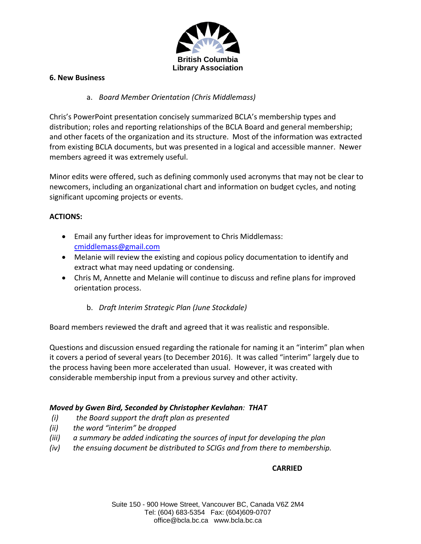

#### **6. New Business**

### a. *Board Member Orientation (Chris Middlemass)*

Chris's PowerPoint presentation concisely summarized BCLA's membership types and distribution; roles and reporting relationships of the BCLA Board and general membership; and other facets of the organization and its structure. Most of the information was extracted from existing BCLA documents, but was presented in a logical and accessible manner. Newer members agreed it was extremely useful.

Minor edits were offered, such as defining commonly used acronyms that may not be clear to newcomers, including an organizational chart and information on budget cycles, and noting significant upcoming projects or events.

### **ACTIONS:**

- Email any further ideas for improvement to Chris Middlemass: cmiddlemass@gmail.com
- Melanie will review the existing and copious policy documentation to identify and extract what may need updating or condensing.
- Chris M, Annette and Melanie will continue to discuss and refine plans for improved orientation process.
	- b. *Draft Interim Strategic Plan (June Stockdale)*

Board members reviewed the draft and agreed that it was realistic and responsible.

Questions and discussion ensued regarding the rationale for naming it an "interim" plan when it covers a period of several years (to December 2016). It was called "interim" largely due to the process having been more accelerated than usual. However, it was created with considerable membership input from a previous survey and other activity.

# *Moved by Gwen Bird, Seconded by Christopher Kevlahan: THAT*

- *(i) the Board support the draft plan as presented*
- *(ii) the word "interim" be dropped*
- *(iii) a summary be added indicating the sources of input for developing the plan*
- *(iv) the ensuing document be distributed to SCIGs and from there to membership.*

#### **CARRIED**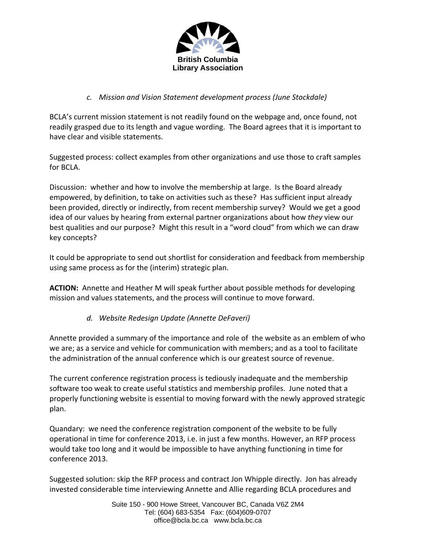

# *c. Mission and Vision Statement development process (June Stockdale)*

BCLA's current mission statement is not readily found on the webpage and, once found, not readily grasped due to its length and vague wording. The Board agrees that it is important to have clear and visible statements.

Suggested process: collect examples from other organizations and use those to craft samples for BCLA.

Discussion: whether and how to involve the membership at large. Is the Board already empowered, by definition, to take on activities such as these? Has sufficient input already been provided, directly or indirectly, from recent membership survey? Would we get a good idea of our values by hearing from external partner organizations about how *they* view our best qualities and our purpose? Might this result in a "word cloud" from which we can draw key concepts?

It could be appropriate to send out shortlist for consideration and feedback from membership using same process as for the (interim) strategic plan.

**ACTION:** Annette and Heather M will speak further about possible methods for developing mission and values statements, and the process will continue to move forward.

# *d. Website Redesign Update (Annette DeFaveri)*

Annette provided a summary of the importance and role of the website as an emblem of who we are; as a service and vehicle for communication with members; and as a tool to facilitate the administration of the annual conference which is our greatest source of revenue.

The current conference registration process is tediously inadequate and the membership software too weak to create useful statistics and membership profiles. June noted that a properly functioning website is essential to moving forward with the newly approved strategic plan.

Quandary: we need the conference registration component of the website to be fully operational in time for conference 2013, i.e. in just a few months. However, an RFP process would take too long and it would be impossible to have anything functioning in time for conference 2013.

Suggested solution: skip the RFP process and contract Jon Whipple directly. Jon has already invested considerable time interviewing Annette and Allie regarding BCLA procedures and